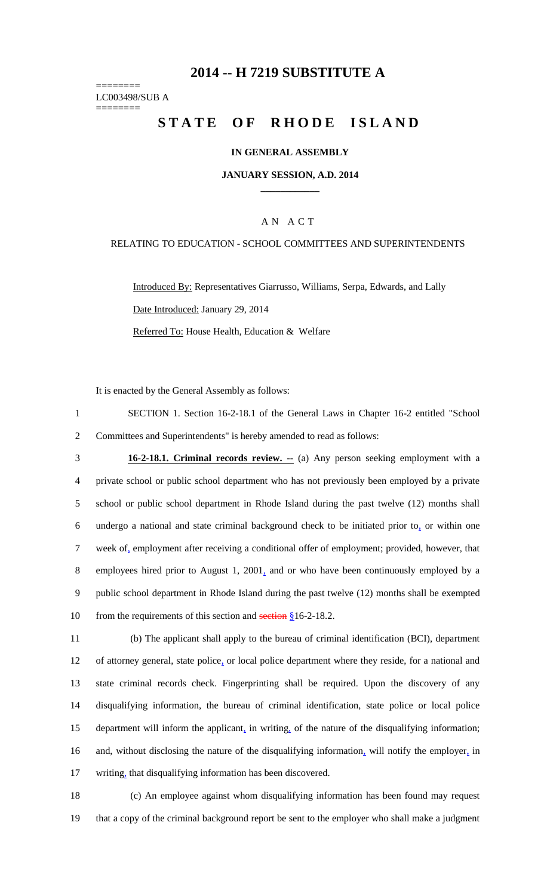## **2014 -- H 7219 SUBSTITUTE A**

======== LC003498/SUB A ========

# STATE OF RHODE ISLAND

### **IN GENERAL ASSEMBLY**

#### **JANUARY SESSION, A.D. 2014 \_\_\_\_\_\_\_\_\_\_\_\_**

## A N A C T

#### RELATING TO EDUCATION - SCHOOL COMMITTEES AND SUPERINTENDENTS

Introduced By: Representatives Giarrusso, Williams, Serpa, Edwards, and Lally Date Introduced: January 29, 2014 Referred To: House Health, Education & Welfare

It is enacted by the General Assembly as follows:

1 SECTION 1. Section 16-2-18.1 of the General Laws in Chapter 16-2 entitled "School 2 Committees and Superintendents" is hereby amended to read as follows:

 **16-2-18.1. Criminal records review. --** (a) Any person seeking employment with a private school or public school department who has not previously been employed by a private school or public school department in Rhode Island during the past twelve (12) months shall undergo a national and state criminal background check to be initiated prior to, or within one week of, employment after receiving a conditional offer of employment; provided, however, that employees hired prior to August 1, 2001, and or who have been continuously employed by a public school department in Rhode Island during the past twelve (12) months shall be exempted 10 from the requirements of this section and section § 16-2-18.2.

 (b) The applicant shall apply to the bureau of criminal identification (BCI), department of attorney general, state police, or local police department where they reside, for a national and state criminal records check. Fingerprinting shall be required. Upon the discovery of any disqualifying information, the bureau of criminal identification, state police or local police department will inform the applicant, in writing, of the nature of the disqualifying information; 16 and, without disclosing the nature of the disqualifying information, will notify the employer, in 17 writing, that disqualifying information has been discovered.

18 (c) An employee against whom disqualifying information has been found may request 19 that a copy of the criminal background report be sent to the employer who shall make a judgment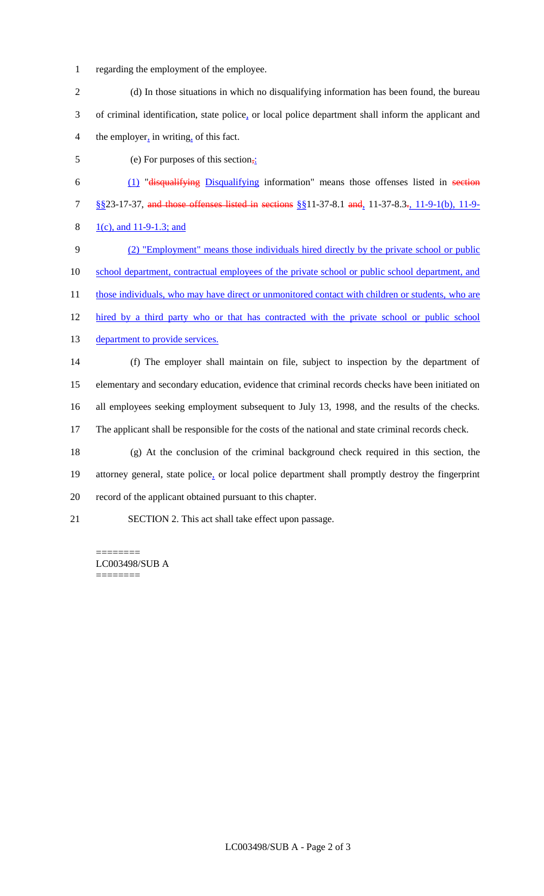- regarding the employment of the employee.
- (d) In those situations in which no disqualifying information has been found, the bureau of criminal identification, state police, or local police department shall inform the applicant and the employer, in writing, of this fact.
- 5 (e) For purposes of this section<sub>7</sub>:
- (1) "disqualifying Disqualifying information" means those offenses listed in section §§23-17-37, and those offenses listed in sections §§11-37-8.1 and, 11-37-8.3., 11-9-1(b), 11-9- 8 1(c), and 11-9-1.3; and
- (2) "Employment" means those individuals hired directly by the private school or public school department, contractual employees of the private school or public school department, and 11 those individuals, who may have direct or unmonitored contact with children or students, who are
- 12 hired by a third party who or that has contracted with the private school or public school
- 13 department to provide services.
- (f) The employer shall maintain on file, subject to inspection by the department of elementary and secondary education, evidence that criminal records checks have been initiated on all employees seeking employment subsequent to July 13, 1998, and the results of the checks. The applicant shall be responsible for the costs of the national and state criminal records check. (g) At the conclusion of the criminal background check required in this section, the attorney general, state police, or local police department shall promptly destroy the fingerprint
- record of the applicant obtained pursuant to this chapter.
- SECTION 2. This act shall take effect upon passage.

======== LC003498/SUB A ========